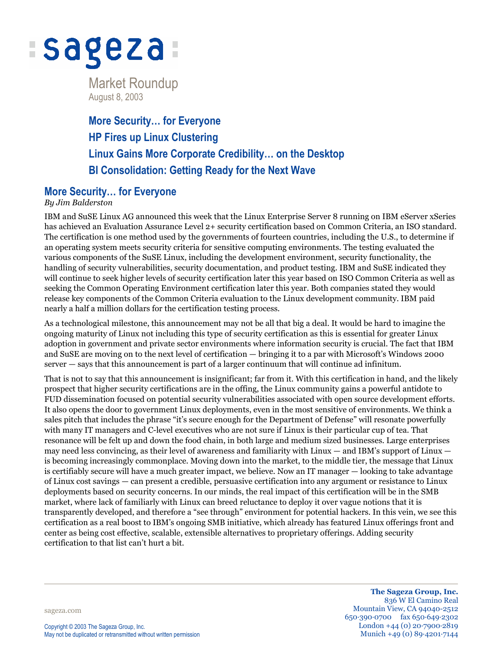

Market Roundup August 8, 2003

**More Security… for Everyone HP Fires up Linux Clustering Linux Gains More Corporate Credibility… on the Desktop BI Consolidation: Getting Ready for the Next Wave**

# **More Security… for Everyone**

### *By Jim Balderston*

IBM and SuSE Linux AG announced this week that the Linux Enterprise Server 8 running on IBM eServer xSeries has achieved an Evaluation Assurance Level 2+ security certification based on Common Criteria, an ISO standard. The certification is one method used by the governments of fourteen countries, including the U.S., to determine if an operating system meets security criteria for sensitive computing environments. The testing evaluated the various components of the SuSE Linux, including the development environment, security functionality, the handling of security vulnerabilities, security documentation, and product testing. IBM and SuSE indicated they will continue to seek higher levels of security certification later this year based on ISO Common Criteria as well as seeking the Common Operating Environment certification later this year. Both companies stated they would release key components of the Common Criteria evaluation to the Linux development community. IBM paid nearly a half a million dollars for the certification testing process.

As a technological milestone, this announcement may not be all that big a deal. It would be hard to imagine the ongoing maturity of Linux not including this type of security certification as this is essential for greater Linux adoption in government and private sector environments where information security is crucial. The fact that IBM and SuSE are moving on to the next level of certification — bringing it to a par with Microsoft's Windows 2000 server — says that this announcement is part of a larger continuum that will continue ad infinitum.

That is not to say that this announcement is insignificant; far from it. With this certification in hand, and the likely prospect that higher security certifications are in the offing, the Linux community gains a powerful antidote to FUD dissemination focused on potential security vulnerabilities associated with open source development efforts. It also opens the door to government Linux deployments, even in the most sensitive of environments. We think a sales pitch that includes the phrase "it's secure enough for the Department of Defense" will resonate powerfully with many IT managers and C-level executives who are not sure if Linux is their particular cup of tea. That resonance will be felt up and down the food chain, in both large and medium sized businesses. Large enterprises may need less convincing, as their level of awareness and familiarity with Linux — and IBM's support of Linux is becoming increasingly commonplace. Moving down into the market, to the middle tier, the message that Linux is certifiably secure will have a much greater impact, we believe. Now an IT manager — looking to take advantage of Linux cost savings — can present a credible, persuasive certification into any argument or resistance to Linux deployments based on security concerns. In our minds, the real impact of this certification will be in the SMB market, where lack of familiarly with Linux can breed reluctance to deploy it over vague notions that it is transparently developed, and therefore a "see through" environment for potential hackers. In this vein, we see this certification as a real boost to IBM's ongoing SMB initiative, which already has featured Linux offerings front and center as being cost effective, scalable, extensible alternatives to proprietary offerings. Adding security certification to that list can't hurt a bit.

sageza.com

**The Sageza Group, Inc.** 836 W El Camino Real Mountain View, CA 94040-2512 650·390·0700 fax 650·649·2302 London +44 (0) 20·7900·2819 Munich +49 (0) 89·4201·7144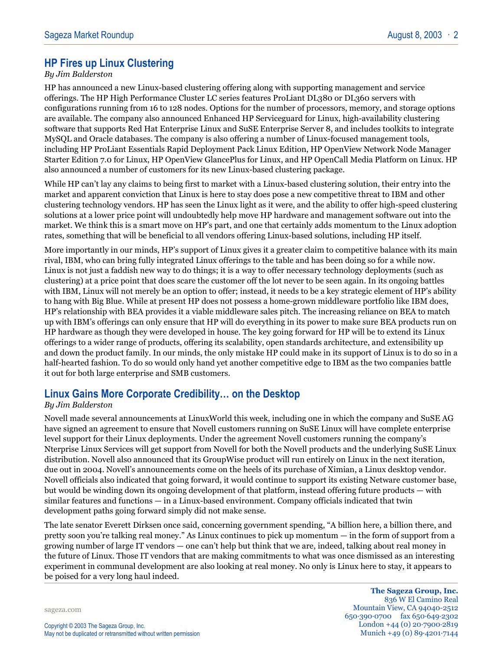# **HP Fires up Linux Clustering**

#### *By Jim Balderston*

HP has announced a new Linux-based clustering offering along with supporting management and service offerings. The HP High Performance Cluster LC series features ProLiant DL380 or DL360 servers with configurations running from 16 to 128 nodes. Options for the number of processors, memory, and storage options are available. The company also announced Enhanced HP Serviceguard for Linux, high-availability clustering software that supports Red Hat Enterprise Linux and SuSE Enterprise Server 8, and includes toolkits to integrate MySQL and Oracle databases. The company is also offering a number of Linux-focused management tools, including HP ProLiant Essentials Rapid Deployment Pack Linux Edition, HP OpenView Network Node Manager Starter Edition 7.0 for Linux, HP OpenView GlancePlus for Linux, and HP OpenCall Media Platform on Linux. HP also announced a number of customers for its new Linux-based clustering package.

While HP can't lay any claims to being first to market with a Linux-based clustering solution, their entry into the market and apparent conviction that Linux is here to stay does pose a new competitive threat to IBM and other clustering technology vendors. HP has seen the Linux light as it were, and the ability to offer high-speed clustering solutions at a lower price point will undoubtedly help move HP hardware and management software out into the market. We think this is a smart move on HP's part, and one that certainly adds momentum to the Linux adoption rates, something that will be beneficial to all vendors offering Linux-based solutions, including HP itself.

More importantly in our minds, HP's support of Linux gives it a greater claim to competitive balance with its main rival, IBM, who can bring fully integrated Linux offerings to the table and has been doing so for a while now. Linux is not just a faddish new way to do things; it is a way to offer necessary technology deployments (such as clustering) at a price point that does scare the customer off the lot never to be seen again. In its ongoing battles with IBM, Linux will not merely be an option to offer; instead, it needs to be a key strategic element of HP's ability to hang with Big Blue. While at present HP does not possess a home-grown middleware portfolio like IBM does, HP's relationship with BEA provides it a viable middleware sales pitch. The increasing reliance on BEA to match up with IBM's offerings can only ensure that HP will do everything in its power to make sure BEA products run on HP hardware as though they were developed in house. The key going forward for HP will be to extend its Linux offerings to a wider range of products, offering its scalability, open standards architecture, and extensibility up and down the product family. In our minds, the only mistake HP could make in its support of Linux is to do so in a half-hearted fashion. To do so would only hand yet another competitive edge to IBM as the two companies battle it out for both large enterprise and SMB customers.

### **Linux Gains More Corporate Credibility… on the Desktop**

#### *By Jim Balderston*

Novell made several announcements at LinuxWorld this week, including one in which the company and SuSE AG have signed an agreement to ensure that Novell customers running on SuSE Linux will have complete enterprise level support for their Linux deployments. Under the agreement Novell customers running the company's Nterprise Linux Services will get support from Novell for both the Novell products and the underlying SuSE Linux distribution. Novell also announced that its GroupWise product will run entirely on Linux in the next iteration, due out in 2004. Novell's announcements come on the heels of its purchase of Ximian, a Linux desktop vendor. Novell officials also indicated that going forward, it would continue to support its existing Netware customer base, but would be winding down its ongoing development of that platform, instead offering future products — with similar features and functions — in a Linux-based environment. Company officials indicated that twin development paths going forward simply did not make sense.

The late senator Everett Dirksen once said, concerning government spending, "A billion here, a billion there, and pretty soon you're talking real money." As Linux continues to pick up momentum — in the form of support from a growing number of large IT vendors — one can't help but think that we are, indeed, talking about real money in the future of Linux. Those IT vendors that are making commitments to what was once dismissed as an interesting experiment in communal development are also looking at real money. No only is Linux here to stay, it appears to be poised for a very long haul indeed.

sageza.com

**The Sageza Group, Inc.** 836 W El Camino Real Mountain View, CA 94040-2512 650·390·0700 fax 650·649·2302 London +44 (0) 20·7900·2819 Munich +49 (0) 89·4201·7144